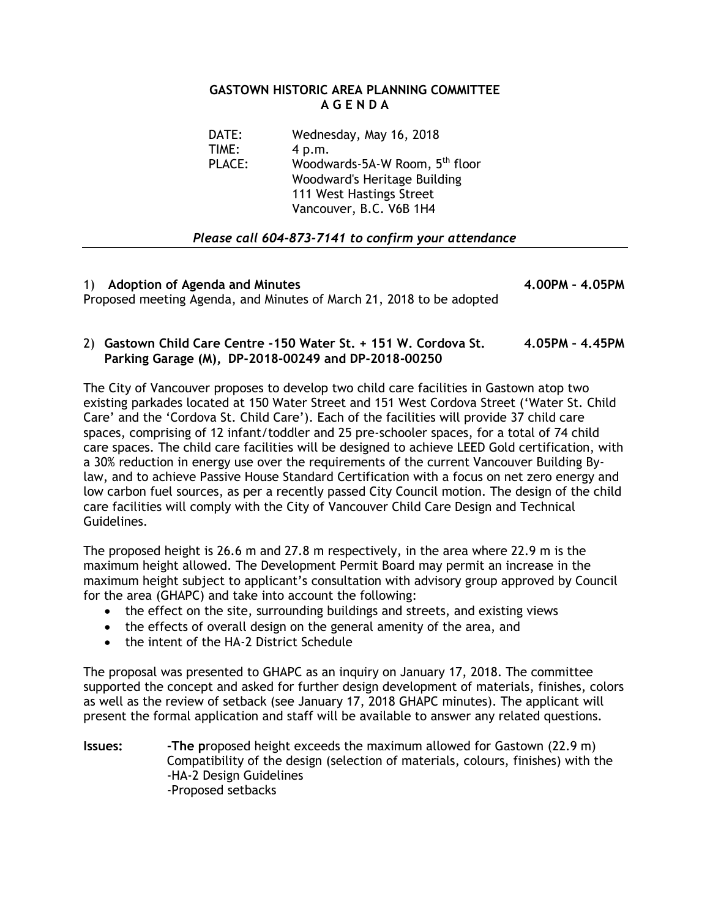## **GASTOWN HISTORIC AREA PLANNING COMMITTEE A G E N D A**

| DATE:  | Wednesday, May 16, 2018                    |
|--------|--------------------------------------------|
| TIME:  | 4 p.m.                                     |
| PLACE: | Woodwards-5A-W Room, 5 <sup>th</sup> floor |
|        | Woodward's Heritage Building               |
|        | 111 West Hastings Street                   |
|        | Vancouver, B.C. V6B 1H4                    |

# *Please call 604-873-7141 to confirm your attendance*

| 1) Adoption of Agenda and Minutes                                    | 4.00PM - 4.05PM |
|----------------------------------------------------------------------|-----------------|
| Proposed meeting Agenda, and Minutes of March 21, 2018 to be adopted |                 |

## 2) **Gastown Child Care Centre -150 Water St. + 151 W. Cordova St. 4.05PM – 4.45PM Parking Garage (M), DP-2018-00249 and DP-2018-00250**

The City of Vancouver proposes to develop two child care facilities in Gastown atop two existing parkades located at 150 Water Street and 151 West Cordova Street ('Water St. Child Care' and the 'Cordova St. Child Care'). Each of the facilities will provide 37 child care spaces, comprising of 12 infant/toddler and 25 pre-schooler spaces, for a total of 74 child care spaces. The child care facilities will be designed to achieve LEED Gold certification, with a 30% reduction in energy use over the requirements of the current Vancouver Building Bylaw, and to achieve Passive House Standard Certification with a focus on net zero energy and low carbon fuel sources, as per a recently passed City Council motion. The design of the child care facilities will comply with the City of Vancouver Child Care Design and Technical Guidelines.

The proposed height is 26.6 m and 27.8 m respectively, in the area where 22.9 m is the maximum height allowed. The Development Permit Board may permit an increase in the maximum height subject to applicant's consultation with advisory group approved by Council for the area (GHAPC) and take into account the following:

- the effect on the site, surrounding buildings and streets, and existing views
- the effects of overall design on the general amenity of the area, and
- the intent of the HA-2 District Schedule

The proposal was presented to GHAPC as an inquiry on January 17, 2018. The committee supported the concept and asked for further design development of materials, finishes, colors as well as the review of setback (see January 17, 2018 GHAPC minutes). The applicant will present the formal application and staff will be available to answer any related questions.

**Issues: -The p**roposed height exceeds the maximum allowed for Gastown (22.9 m) Compatibility of the design (selection of materials, colours, finishes) with the -HA-2 Design Guidelines -Proposed setbacks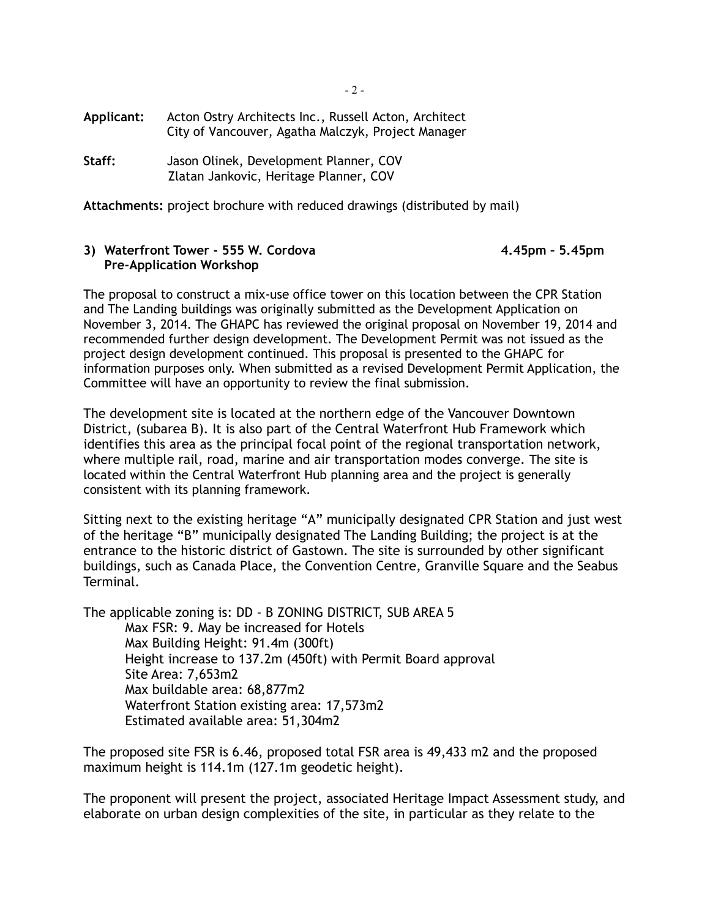**Applicant:** Acton Ostry Architects Inc., Russell Acton, Architect City of Vancouver, Agatha Malczyk, Project Manager

**Staff:** Jason Olinek, Development Planner, COV Zlatan Jankovic, Heritage Planner, COV

**Attachments:** project brochure with reduced drawings (distributed by mail)

#### **3) Waterfront Tower - 555 W. Cordova 4.45pm – 5.45pm Pre-Application Workshop**

The proposal to construct a mix-use office tower on this location between the CPR Station and The Landing buildings was originally submitted as the Development Application on November 3, 2014. The GHAPC has reviewed the original proposal on November 19, 2014 and recommended further design development. The Development Permit was not issued as the project design development continued. This proposal is presented to the GHAPC for information purposes only. When submitted as a revised Development Permit Application, the Committee will have an opportunity to review the final submission.

The development site is located at the northern edge of the Vancouver Downtown District, (subarea B). It is also part of the Central Waterfront Hub Framework which identifies this area as the principal focal point of the regional transportation network, where multiple rail, road, marine and air transportation modes converge. The site is located within the Central Waterfront Hub planning area and the project is generally consistent with its planning framework.

Sitting next to the existing heritage "A" municipally designated CPR Station and just west of the heritage "B" municipally designated The Landing Building; the project is at the entrance to the historic district of Gastown. The site is surrounded by other significant buildings, such as Canada Place, the Convention Centre, Granville Square and the Seabus Terminal.

The applicable zoning is: DD - B ZONING DISTRICT, SUB AREA 5 Max FSR: 9. May be increased for Hotels Max Building Height: 91.4m (300ft) Height increase to 137.2m (450ft) with Permit Board approval Site Area: 7,653m2 Max buildable area: 68,877m2 Waterfront Station existing area: 17,573m2 Estimated available area: 51,304m2

The proposed site FSR is 6.46, proposed total FSR area is 49,433 m2 and the proposed maximum height is 114.1m (127.1m geodetic height).

The proponent will present the project, associated Heritage Impact Assessment study, and elaborate on urban design complexities of the site, in particular as they relate to the